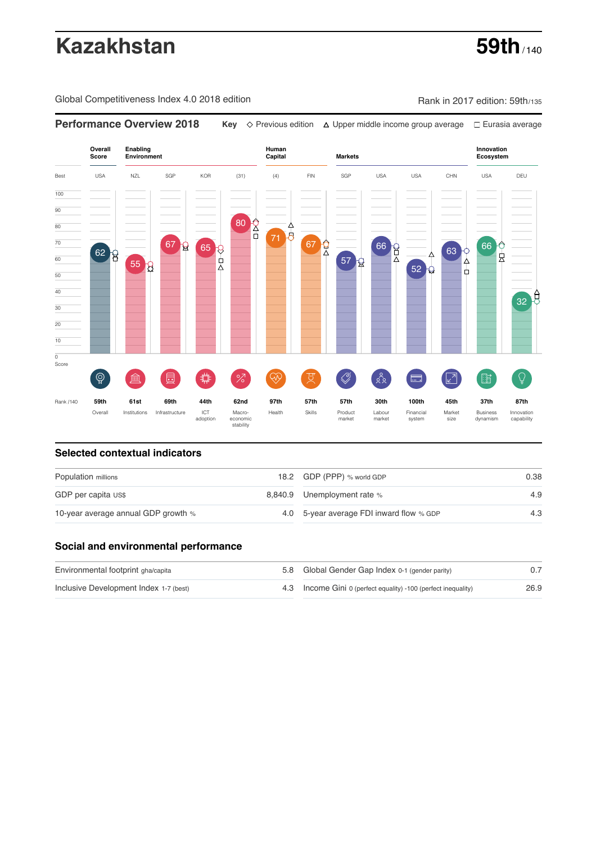# **Kazakhstan** 59th<sub>/140</sub>

Global Competitiveness Index 4.0 2018 edition Company Rank in 2017 edition: 59th/135



### **Selected contextual indicators**

| Population millions                 |  | 18.2 GDP (PPP) % world GDP               | 0.38 |
|-------------------------------------|--|------------------------------------------|------|
| GDP per capita US\$                 |  | 8,840.9 Unemployment rate %              | 4.9  |
| 10-year average annual GDP growth % |  | 4.0 5-year average FDI inward flow % GDP | 4.3  |

### **Social and environmental performance**

| Environmental footprint gha/capita     |  | 5.8 Global Gender Gap Index 0-1 (gender parity)                |      |  |
|----------------------------------------|--|----------------------------------------------------------------|------|--|
| Inclusive Development Index 1-7 (best) |  | 4.3 Income Gini 0 (perfect equality) -100 (perfect inequality) | 26.9 |  |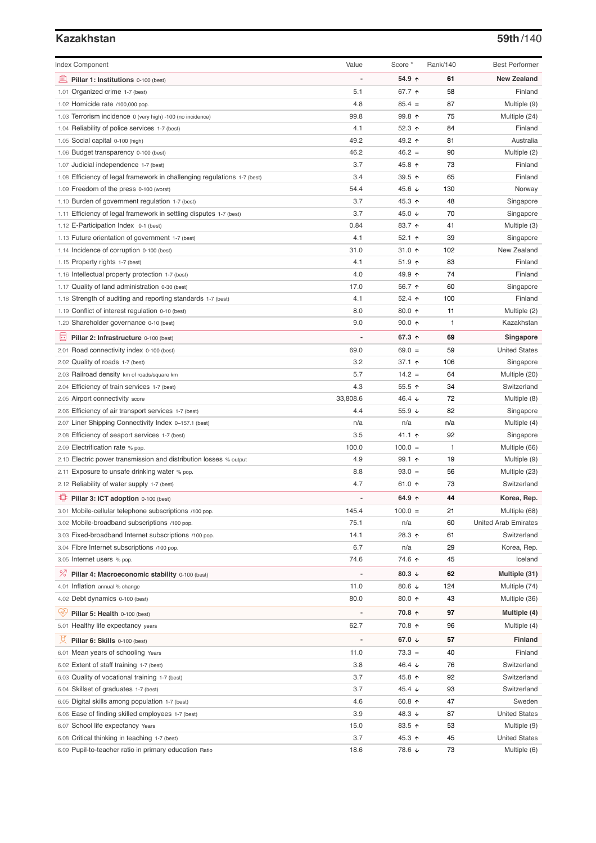# **Kazakhstan 59th**/140

| <b>Index Component</b>                                                   | Value    | Score *                  | Rank/140 | <b>Best Performer</b>       |
|--------------------------------------------------------------------------|----------|--------------------------|----------|-----------------------------|
| Pillar 1: Institutions 0-100 (best)                                      |          | 54.9 ↑                   | 61       | <b>New Zealand</b>          |
| 1.01 Organized crime 1-7 (best)                                          | 5.1      | 67.7 ↑                   | 58       | Finland                     |
| 1.02 Homicide rate /100,000 pop.                                         | 4.8      | $85.4 =$                 | 87       | Multiple (9)                |
| 1.03 Terrorism incidence 0 (very high) -100 (no incidence)               | 99.8     | 99.8 个                   | 75       | Multiple (24)               |
| 1.04 Reliability of police services 1-7 (best)                           | 4.1      | 52.3 $\uparrow$          | 84       | Finland                     |
| 1.05 Social capital 0-100 (high)                                         | 49.2     | 49.2 ↑                   | 81       | Australia                   |
| 1.06 Budget transparency 0-100 (best)                                    | 46.2     | $46.2 =$                 | 90       | Multiple (2)                |
| 1.07 Judicial independence 1-7 (best)                                    | 3.7      | 45.8 ↑                   | 73       | Finland                     |
| 1.08 Efficiency of legal framework in challenging regulations 1-7 (best) | 3.4      | 39.5 个                   | 65       | Finland                     |
| 1.09 Freedom of the press 0-100 (worst)                                  | 54.4     | 45.6 ↓                   | 130      | Norway                      |
| 1.10 Burden of government regulation 1-7 (best)                          | 3.7      | 45.3 ↑                   | 48       | Singapore                   |
| 1.11 Efficiency of legal framework in settling disputes 1-7 (best)       | 3.7      | 45.0 ↓                   | 70       | Singapore                   |
| 1.12 E-Participation Index 0-1 (best)                                    | 0.84     | 83.7 ↑                   | 41       | Multiple (3)                |
| 1.13 Future orientation of government 1-7 (best)                         | 4.1      | 52.1 $\uparrow$          | 39       | Singapore                   |
| 1.14 Incidence of corruption 0-100 (best)                                | 31.0     | 31.0 $\uparrow$          | 102      | New Zealand                 |
| 1.15 Property rights 1-7 (best)                                          | 4.1      | $51.9$ ↑                 | 83       | Finland                     |
| 1.16 Intellectual property protection 1-7 (best)                         | 4.0      | 49.9 ↑                   | 74       | Finland                     |
| 1.17 Quality of land administration 0-30 (best)                          | 17.0     | 56.7 ↑                   | 60       | Singapore                   |
| 1.18 Strength of auditing and reporting standards 1-7 (best)             | 4.1      | 52.4 $\uparrow$          | 100      | Finland                     |
| 1.19 Conflict of interest regulation 0-10 (best)                         | 8.0      | 80.0 个                   | 11       | Multiple (2)                |
| 1.20 Shareholder governance 0-10 (best)                                  | 9.0      | $90.0 \text{ } \Upsilon$ | 1        | Kazakhstan                  |
| 圓<br>Pillar 2: Infrastructure 0-100 (best)                               |          | 67.3 ↑                   | 69       | Singapore                   |
| 2.01 Road connectivity index 0-100 (best)                                | 69.0     | $69.0 =$                 | 59       | <b>United States</b>        |
| 2.02 Quality of roads 1-7 (best)                                         | 3.2      | 37.1 $\uparrow$          | 106      | Singapore                   |
| 2.03 Railroad density km of roads/square km                              | 5.7      | $14.2 =$                 | 64       | Multiple (20)               |
| 2.04 Efficiency of train services 1-7 (best)                             | 4.3      | $55.5$ ↑                 | 34       | Switzerland                 |
| 2.05 Airport connectivity score                                          | 33,808.6 | 46.4 ↓                   | 72       | Multiple (8)                |
| 2.06 Efficiency of air transport services 1-7 (best)                     | 4.4      | 55.9 ↓                   | 82       | Singapore                   |
| 2.07 Liner Shipping Connectivity Index 0-157.1 (best)                    | n/a      | n/a                      | n/a      | Multiple (4)                |
| 2.08 Efficiency of seaport services 1-7 (best)                           | 3.5      | 41.1 ↑                   | 92       | Singapore                   |
| 2.09 Electrification rate % pop.                                         | 100.0    | $100.0 =$                | 1        | Multiple (66)               |
| 2.10 Electric power transmission and distribution losses % output        | 4.9      | 99.1 ↑                   | 19       | Multiple (9)                |
| 2.11 Exposure to unsafe drinking water % pop.                            | 8.8      | $93.0 =$                 | 56       | Multiple (23)               |
| 2.12 Reliability of water supply 1-7 (best)                              | 4.7      | 61.0 $\uparrow$          | 73       | Switzerland                 |
| Pillar 3: ICT adoption 0-100 (best)                                      |          | 64.9 ↑                   | 44       | Korea, Rep.                 |
| 3.01 Mobile-cellular telephone subscriptions /100 pop.                   | 145.4    | $100.0 =$                | 21       | Multiple (68)               |
| 3.02 Mobile-broadband subscriptions /100 pop.                            | 75.1     | n/a                      | 60       | <b>United Arab Emirates</b> |
| 3.03 Fixed-broadband Internet subscriptions /100 pop.                    | 14.1     | 28.3 ↑                   | 61       | Switzerland                 |
| 3.04 Fibre Internet subscriptions /100 pop.                              | 6.7      | n/a                      | 29       | Korea, Rep.                 |
| 3.05 Internet users % pop.                                               | 74.6     | 74.6 ↑                   | 45       | Iceland                     |
| ℅<br>Pillar 4: Macroeconomic stability 0-100 (best)                      |          | 80.3 $\downarrow$        | 62       | Multiple (31)               |
| 4.01 Inflation annual % change                                           | 11.0     | 80.6 ↓                   | 124      | Multiple (74)               |
| 4.02 Debt dynamics 0-100 (best)                                          | 80.0     | 80.0 个                   | 43       | Multiple (36)               |
| Pillar 5: Health 0-100 (best)                                            |          | 70.8 个                   | 97       | Multiple (4)                |
| 5.01 Healthy life expectancy years                                       | 62.7     | 70.8 ↑                   | 96       | Multiple (4)                |
| ¤<br>Pillar 6: Skills 0-100 (best)                                       |          | 67.0 $\sqrt{ }$          | 57       | <b>Finland</b>              |
| 6.01 Mean years of schooling Years                                       | 11.0     | $73.3 =$                 | 40       | Finland                     |
| 6.02 Extent of staff training 1-7 (best)                                 | 3.8      | 46.4 ↓                   | 76       | Switzerland                 |
| 6.03 Quality of vocational training 1-7 (best)                           | 3.7      | 45.8 个                   | 92       | Switzerland                 |
| 6.04 Skillset of graduates 1-7 (best)                                    | 3.7      | 45.4 $\sqrt{ }$          | 93       | Switzerland                 |
| 6.05 Digital skills among population 1-7 (best)                          | 4.6      | 60.8 $\uparrow$          | 47       | Sweden                      |
| 6.06 Ease of finding skilled employees 1-7 (best)                        | 3.9      | 48.3 ↓                   | 87       | <b>United States</b>        |
| 6.07 School life expectancy Years                                        | 15.0     | 83.5 个                   | 53       | Multiple (9)                |
| 6.08 Critical thinking in teaching 1-7 (best)                            | 3.7      | 45.3 ↑                   | 45       | <b>United States</b>        |
| 6.09 Pupil-to-teacher ratio in primary education Ratio                   | 18.6     | 78.6 ↓                   | 73       | Multiple (6)                |